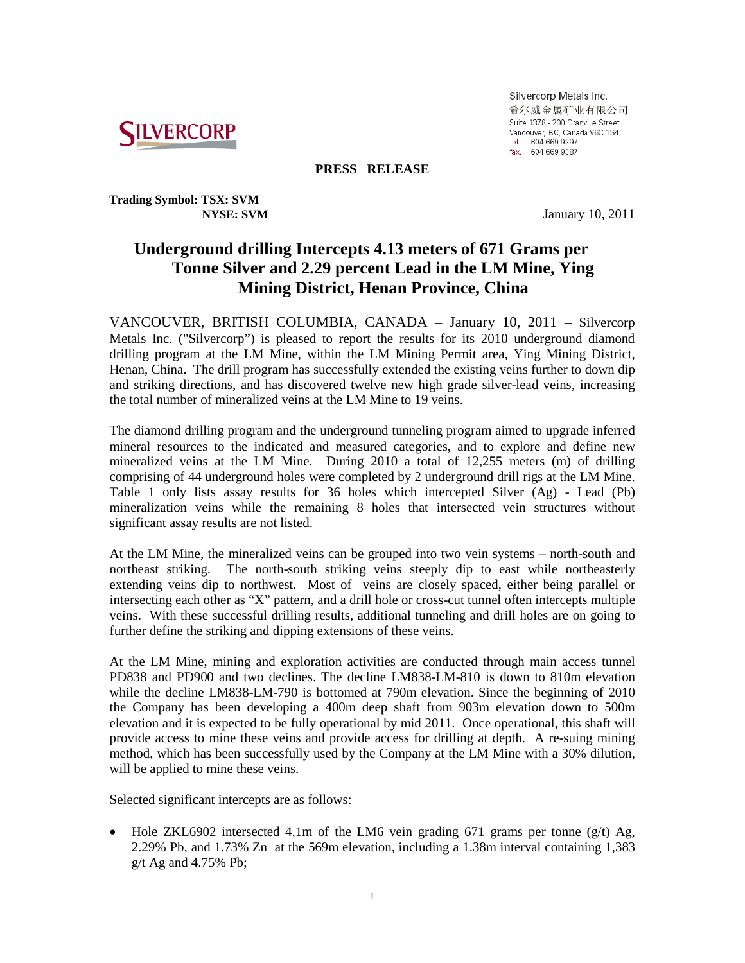

Silvercorp Metals Inc. 希尔威金属矿业有限公司 Suite 1378 - 200 Granville Street Vancouver, BC, Canada V6C 1S4 tel. 604 669 9397<br>fax. 604 669 9397

**PRESS RELEASE**

**Trading Symbol: TSX: SVM**

**NYSE: SVM** January 10, 2011

# **Underground drilling Intercepts 4.13 meters of 671 Grams per Tonne Silver and 2.29 percent Lead in the LM Mine, Ying Mining District, Henan Province, China**

VANCOUVER, BRITISH COLUMBIA, CANADA – January 10, 2011 – Silvercorp Metals Inc. ("Silvercorp") is pleased to report the results for its 2010 underground diamond drilling program at the LM Mine, within the LM Mining Permit area, Ying Mining District, Henan, China. The drill program has successfully extended the existing veins further to down dip and striking directions, and has discovered twelve new high grade silver-lead veins, increasing the total number of mineralized veins at the LM Mine to 19 veins.

The diamond drilling program and the underground tunneling program aimed to upgrade inferred mineral resources to the indicated and measured categories, and to explore and define new mineralized veins at the LM Mine. During 2010 a total of 12,255 meters (m) of drilling comprising of 44 underground holes were completed by 2 underground drill rigs at the LM Mine. Table 1 only lists assay results for 36 holes which intercepted Silver (Ag) - Lead (Pb) mineralization veins while the remaining 8 holes that intersected vein structures without significant assay results are not listed.

At the LM Mine, the mineralized veins can be grouped into two vein systems – north-south and northeast striking. The north-south striking veins steeply dip to east while northeasterly extending veins dip to northwest. Most of veins are closely spaced, either being parallel or intersecting each other as "X" pattern, and a drill hole or cross-cut tunnel often intercepts multiple veins. With these successful drilling results, additional tunneling and drill holes are on going to further define the striking and dipping extensions of these veins.

At the LM Mine, mining and exploration activities are conducted through main access tunnel PD838 and PD900 and two declines. The decline LM838-LM-810 is down to 810m elevation while the decline LM838-LM-790 is bottomed at 790m elevation. Since the beginning of 2010 the Company has been developing a 400m deep shaft from 903m elevation down to 500m elevation and it is expected to be fully operational by mid 2011. Once operational, this shaft will provide access to mine these veins and provide access for drilling at depth. A re-suing mining method, which has been successfully used by the Company at the LM Mine with a 30% dilution, will be applied to mine these veins.

Selected significant intercepts are as follows:

• Hole ZKL6902 intersected 4.1m of the LM6 vein grading 671 grams per tonne  $(g/t)$  Ag, 2.29% Pb, and 1.73% Zn at the 569m elevation, including a 1.38m interval containing 1,383 g/t Ag and 4.75% Pb;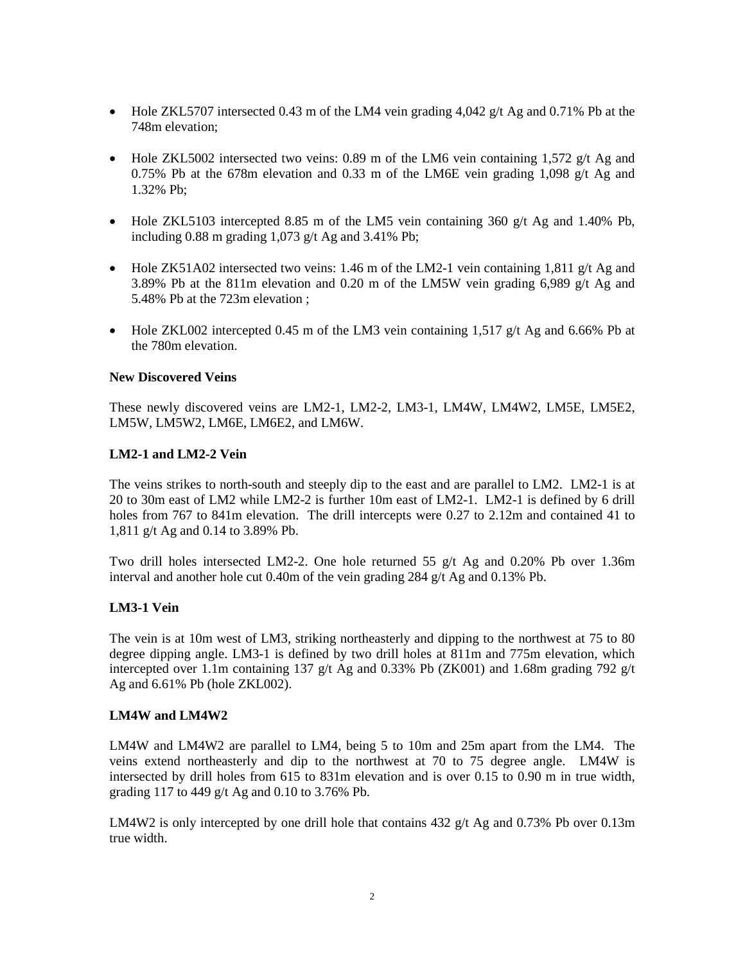- Hole ZKL5707 intersected 0.43 m of the LM4 vein grading 4,042  $g/t$  Ag and 0.71% Pb at the 748m elevation;
- Hole ZKL5002 intersected two veins: 0.89 m of the LM6 vein containing 1,572 g/t Ag and 0.75% Pb at the 678m elevation and 0.33 m of the LM6E vein grading 1,098 g/t Ag and 1.32% Pb;
- Hole ZKL5103 intercepted 8.85 m of the LM5 vein containing 360 g/t Ag and 1.40% Pb, including 0.88 m grading  $1,073$  g/t Ag and 3.41% Pb;
- Hole ZK51A02 intersected two veins: 1.46 m of the LM2-1 vein containing 1,811 g/t Ag and 3.89% Pb at the 811m elevation and 0.20 m of the LM5W vein grading 6,989  $g/t$  Ag and 5.48% Pb at the 723m elevation ;
- Hole ZKL002 intercepted 0.45 m of the LM3 vein containing 1,517 g/t Ag and 6.66% Pb at the 780m elevation.

## **New Discovered Veins**

These newly discovered veins are LM2-1, LM2-2, LM3-1, LM4W, LM4W2, LM5E, LM5E2, LM5W, LM5W2, LM6E, LM6E2, and LM6W.

## **LM2-1 and LM2-2 Vein**

The veins strikes to north-south and steeply dip to the east and are parallel to LM2. LM2-1 is at 20 to 30m east of LM2 while LM2-2 is further 10m east of LM2-1. LM2-1 is defined by 6 drill holes from 767 to 841m elevation. The drill intercepts were 0.27 to 2.12m and contained 41 to 1,811 g/t Ag and 0.14 to 3.89% Pb.

Two drill holes intersected LM2-2. One hole returned 55  $g/t$  Ag and 0.20% Pb over 1.36m interval and another hole cut 0.40m of the vein grading 284 g/t Ag and 0.13% Pb.

### **LM3-1 Vein**

The vein is at 10m west of LM3, striking northeasterly and dipping to the northwest at 75 to 80 degree dipping angle. LM3-1 is defined by two drill holes at 811m and 775m elevation, which intercepted over 1.1m containing 137 g/t Ag and 0.33% Pb (ZK001) and 1.68m grading 792 g/t Ag and 6.61% Pb (hole ZKL002).

## **LM4W and LM4W2**

LM4W and LM4W2 are parallel to LM4, being 5 to 10m and 25m apart from the LM4. The veins extend northeasterly and dip to the northwest at 70 to 75 degree angle. LM4W is intersected by drill holes from 615 to 831m elevation and is over 0.15 to 0.90 m in true width, grading 117 to 449 g/t Ag and 0.10 to 3.76% Pb.

LM4W2 is only intercepted by one drill hole that contains 432 g/t Ag and 0.73% Pb over 0.13m true width.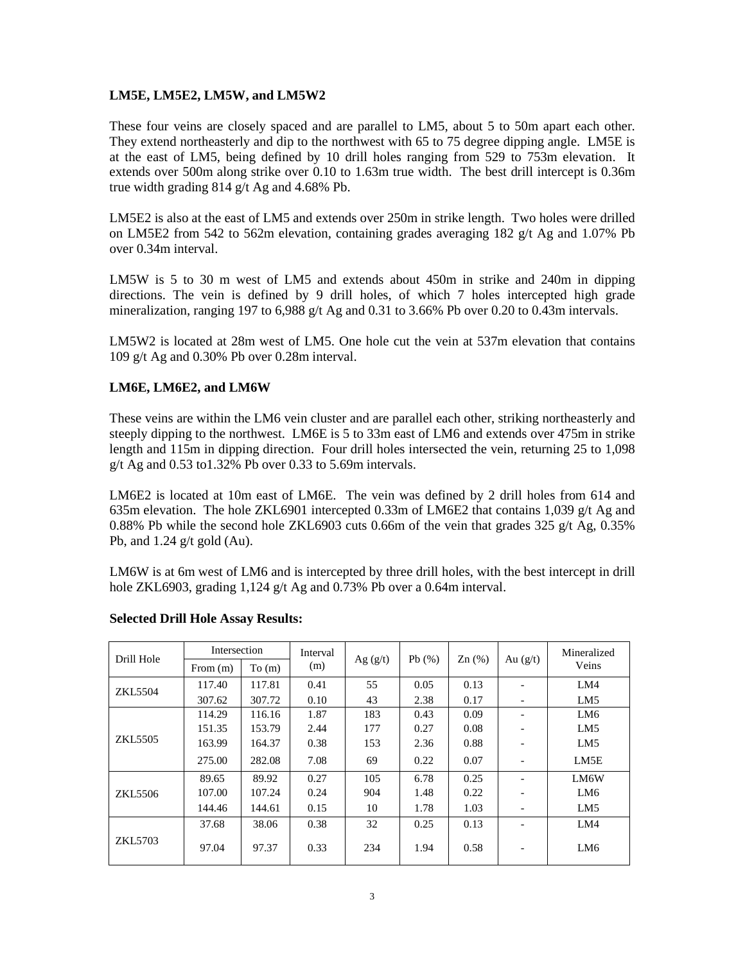## **LM5E, LM5E2, LM5W, and LM5W2**

These four veins are closely spaced and are parallel to LM5, about 5 to 50m apart each other. They extend northeasterly and dip to the northwest with 65 to 75 degree dipping angle. LM5E is at the east of LM5, being defined by 10 drill holes ranging from 529 to 753m elevation. It extends over 500m along strike over 0.10 to 1.63m true width. The best drill intercept is 0.36m true width grading 814 g/t Ag and 4.68% Pb.

LM5E2 is also at the east of LM5 and extends over 250m in strike length. Two holes were drilled on LM5E2 from 542 to 562m elevation, containing grades averaging 182 g/t Ag and 1.07% Pb over 0.34m interval.

LM5W is 5 to 30 m west of LM5 and extends about 450m in strike and 240m in dipping directions. The vein is defined by 9 drill holes, of which 7 holes intercepted high grade mineralization, ranging 197 to 6,988 g/t Ag and 0.31 to 3.66% Pb over 0.20 to 0.43m intervals.

LM5W2 is located at 28m west of LM5. One hole cut the vein at 537m elevation that contains 109 g/t Ag and 0.30% Pb over 0.28m interval.

# **LM6E, LM6E2, and LM6W**

These veins are within the LM6 vein cluster and are parallel each other, striking northeasterly and steeply dipping to the northwest. LM6E is 5 to 33m east of LM6 and extends over 475m in strike length and 115m in dipping direction. Four drill holes intersected the vein, returning 25 to 1,098  $g/t$  Ag and 0.53 to 1.32% Pb over 0.33 to 5.69m intervals.

LM6E2 is located at 10m east of LM6E. The vein was defined by 2 drill holes from 614 and 635m elevation. The hole ZKL6901 intercepted 0.33m of LM6E2 that contains 1,039 g/t Ag and 0.88% Pb while the second hole ZKL6903 cuts 0.66m of the vein that grades 325 g/t Ag, 0.35% Pb, and  $1.24$  g/t gold (Au).

LM6W is at 6m west of LM6 and is intercepted by three drill holes, with the best intercept in drill hole ZKL6903, grading 1,124 g/t Ag and 0.73% Pb over a 0.64m interval.

| Drill Hole     | Intersection |          | Interval | Ag $(g/t)$ | Pb(%) | $\text{Zn}(\%)$ | Au $(g/t)$               | Mineralized     |
|----------------|--------------|----------|----------|------------|-------|-----------------|--------------------------|-----------------|
|                | From $(m)$   | To $(m)$ | (m)      |            |       |                 |                          | Veins           |
| <b>ZKL5504</b> | 117.40       | 117.81   | 0.41     | 55         | 0.05  | 0.13            |                          | LM4             |
|                | 307.62       | 307.72   | 0.10     | 43         | 2.38  | 0.17            | -                        | LM5             |
| ZKL5505        | 114.29       | 116.16   | 1.87     | 183        | 0.43  | 0.09            |                          | LM6             |
|                | 151.35       | 153.79   | 2.44     | 177        | 0.27  | 0.08            |                          | LM <sub>5</sub> |
|                | 163.99       | 164.37   | 0.38     | 153        | 2.36  | 0.88            | $\overline{\phantom{a}}$ | LM5             |
|                | 275.00       | 282.08   | 7.08     | 69         | 0.22  | 0.07            | $\overline{\phantom{a}}$ | LM5E            |
| ZKL5506        | 89.65        | 89.92    | 0.27     | 105        | 6.78  | 0.25            |                          | LM6W            |
|                | 107.00       | 107.24   | 0.24     | 904        | 1.48  | 0.22            |                          | LM <sub>6</sub> |
|                | 144.46       | 144.61   | 0.15     | 10         | 1.78  | 1.03            | $\overline{\phantom{a}}$ | LM5             |
| ZKL5703        | 37.68        | 38.06    | 0.38     | 32         | 0.25  | 0.13            |                          | LM4             |
|                | 97.04        | 97.37    | 0.33     | 234        | 1.94  | 0.58            |                          | LM <sub>6</sub> |

## **Selected Drill Hole Assay Results:**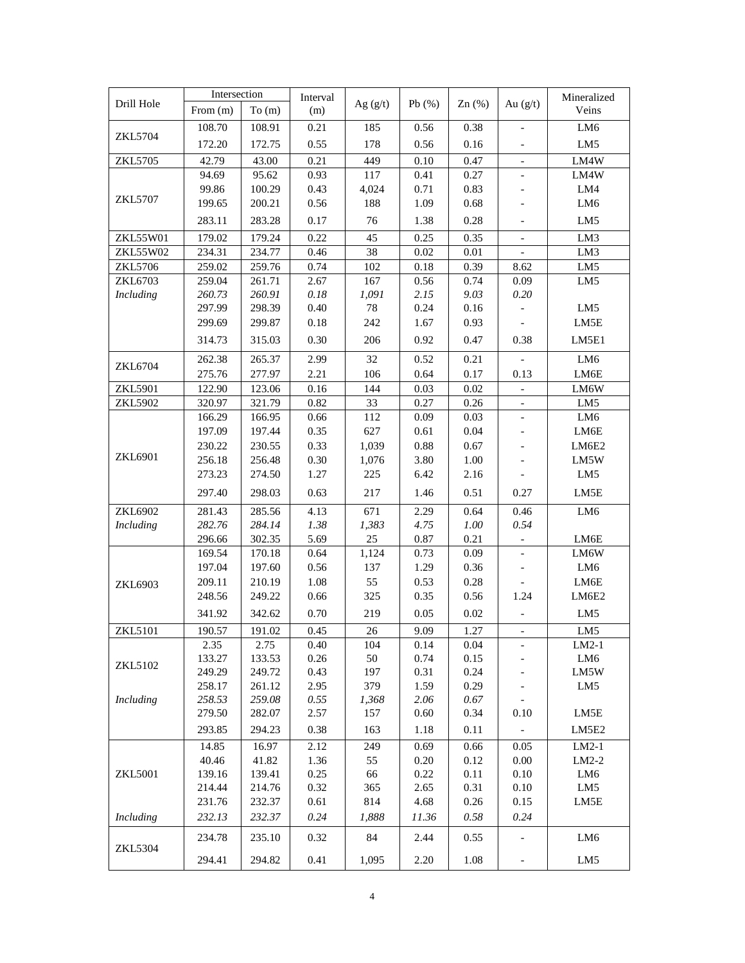|                  | Intersection |          | Interval |            |           |          |                          | Mineralized     |
|------------------|--------------|----------|----------|------------|-----------|----------|--------------------------|-----------------|
| Drill Hole       | From (m)     | To $(m)$ | (m)      | Ag $(g/t)$ | Pb $(\%)$ | $Zn$ (%) | Au $(g/t)$               | Veins           |
|                  | 108.70       | 108.91   | 0.21     | 185        | 0.56      | 0.38     | $\overline{a}$           | LM6             |
| <b>ZKL5704</b>   | 172.20       | 172.75   | 0.55     | 178        | 0.56      | 0.16     | $\overline{\phantom{0}}$ | LM5             |
| <b>ZKL5705</b>   | 42.79        | 43.00    | 0.21     | 449        | 0.10      | 0.47     | $\overline{\phantom{a}}$ | LM4W            |
|                  | 94.69        | 95.62    | 0.93     | 117        | 0.41      | 0.27     | $\overline{\phantom{0}}$ | LM4W            |
|                  | 99.86        | 100.29   | 0.43     | 4,024      | 0.71      | 0.83     | $\overline{\phantom{0}}$ | LM4             |
| <b>ZKL5707</b>   | 199.65       | 200.21   | 0.56     | 188        | 1.09      | 0.68     |                          | LM6             |
|                  |              |          |          |            |           |          |                          |                 |
|                  | 283.11       | 283.28   | 0.17     | 76         | 1.38      | 0.28     | $\overline{\phantom{a}}$ | LM5             |
| ZKL55W01         | 179.02       | 179.24   | 0.22     | 45         | 0.25      | 0.35     | $\overline{\phantom{a}}$ | LM3             |
| <b>ZKL55W02</b>  | 234.31       | 234.77   | 0.46     | 38         | 0.02      | 0.01     |                          | LM3             |
| <b>ZKL5706</b>   | 259.02       | 259.76   | 0.74     | 102        | 0.18      | 0.39     | 8.62                     | LM5             |
| <b>ZKL6703</b>   | 259.04       | 261.71   | 2.67     | 167        | 0.56      | 0.74     | 0.09                     | LM5             |
| <b>Including</b> | 260.73       | 260.91   | 0.18     | 1,091      | 2.15      | 9.03     | 0.20                     |                 |
|                  | 297.99       | 298.39   | 0.40     | $78\,$     | 0.24      | 0.16     |                          | LM5             |
|                  | 299.69       | 299.87   | 0.18     | 242        | 1.67      | 0.93     |                          | LM5E            |
|                  | 314.73       | 315.03   | 0.30     | 206        | 0.92      | 0.47     | 0.38                     | LM5E1           |
| <b>ZKL6704</b>   | 262.38       | 265.37   | 2.99     | 32         | 0.52      | 0.21     |                          | LM6             |
|                  | 275.76       | 277.97   | 2.21     | 106        | 0.64      | 0.17     | 0.13                     | LM6E            |
| <b>ZKL5901</b>   | 122.90       | 123.06   | 0.16     | 144        | 0.03      | 0.02     | $\overline{\phantom{a}}$ | LM6W            |
| ZKL5902          | 320.97       | 321.79   | 0.82     | 33         | 0.27      | 0.26     | $\blacksquare$           | LM5             |
|                  | 166.29       | 166.95   | 0.66     | 112        | 0.09      | 0.03     | $\overline{\phantom{a}}$ | LM6             |
|                  | 197.09       | 197.44   | 0.35     | 627        | 0.61      | 0.04     | $\overline{\phantom{a}}$ | LM6E            |
|                  | 230.22       | 230.55   | 0.33     | 1,039      | 0.88      | 0.67     |                          | LM6E2           |
| ZKL6901          | 256.18       | 256.48   | 0.30     | 1,076      | 3.80      | 1.00     |                          | LM5W            |
|                  | 273.23       | 274.50   | 1.27     | 225        | 6.42      | 2.16     |                          | LM5             |
|                  | 297.40       | 298.03   | 0.63     | 217        | 1.46      | 0.51     | 0.27                     | LM5E            |
| ZKL6902          | 281.43       | 285.56   | 4.13     | 671        | 2.29      | 0.64     | 0.46                     | LM6             |
| Including        | 282.76       | 284.14   | 1.38     | 1,383      | 4.75      | 1.00     | 0.54                     |                 |
|                  | 296.66       | 302.35   | 5.69     | $25\,$     | 0.87      | 0.21     | $\overline{\phantom{0}}$ | LM6E            |
|                  | 169.54       | 170.18   | 0.64     | 1,124      | 0.73      | 0.09     | $\overline{\phantom{0}}$ | LM6W            |
|                  | 197.04       | 197.60   | 0.56     | 137        | 1.29      | 0.36     | $\overline{\phantom{a}}$ | LM6             |
| ZKL6903          | 209.11       | 210.19   | 1.08     | 55         | 0.53      | 0.28     |                          | LM6E            |
|                  | 248.56       | 249.22   | 0.66     | 325        | 0.35      | 0.56     | 1.24                     | LM6E2           |
|                  | 341.92       | 342.62   | 0.70     | 219        | 0.05      | 0.02     |                          | LM <sub>5</sub> |
| ZKL5101          | 190.57       | 191.02   | 0.45     | $26\,$     | 9.09      | 1.27     |                          | ${\rm LM5}$     |
|                  | 2.35         | 2.75     | 0.40     | 104        | 0.14      | 0.04     |                          | $LM2-1$         |
|                  | 133.27       | 133.53   | 0.26     | 50         | 0.74      | 0.15     |                          | LM6             |
| ZKL5102          | 249.29       | 249.72   | 0.43     | 197        | 0.31      | 0.24     |                          | LM5W            |
|                  | 258.17       | 261.12   | 2.95     | 379        | 1.59      | 0.29     |                          | LM5             |
| Including        | 258.53       | 259.08   | 0.55     | 1,368      | 2.06      | 0.67     |                          |                 |
|                  | 279.50       | 282.07   | 2.57     | 157        | 0.60      | 0.34     | 0.10                     | LM5E            |
|                  | 293.85       | 294.23   | 0.38     | 163        | 1.18      | 0.11     |                          | LM5E2           |
|                  | 14.85        | 16.97    | 2.12     | 249        | 0.69      | 0.66     | 0.05                     | $LM2-1$         |
|                  | 40.46        | 41.82    | 1.36     | 55         | 0.20      | 0.12     | 0.00                     | $LM2-2$         |
| <b>ZKL5001</b>   | 139.16       | 139.41   | 0.25     | 66         | 0.22      | 0.11     | 0.10                     | LM6             |
|                  | 214.44       | 214.76   | 0.32     | 365        | 2.65      | 0.31     | 0.10                     | LM5             |
|                  | 231.76       | 232.37   | 0.61     | 814        | 4.68      | 0.26     | 0.15                     | LM5E            |
| Including        | 232.13       | 232.37   | 0.24     | 1,888      | 11.36     | 0.58     | 0.24                     |                 |
|                  | 234.78       | 235.10   | 0.32     | 84         | 2.44      | 0.55     |                          | LM6             |
| <b>ZKL5304</b>   | 294.41       | 294.82   | 0.41     | 1,095      | 2.20      | 1.08     | $\overline{\phantom{0}}$ | LM5             |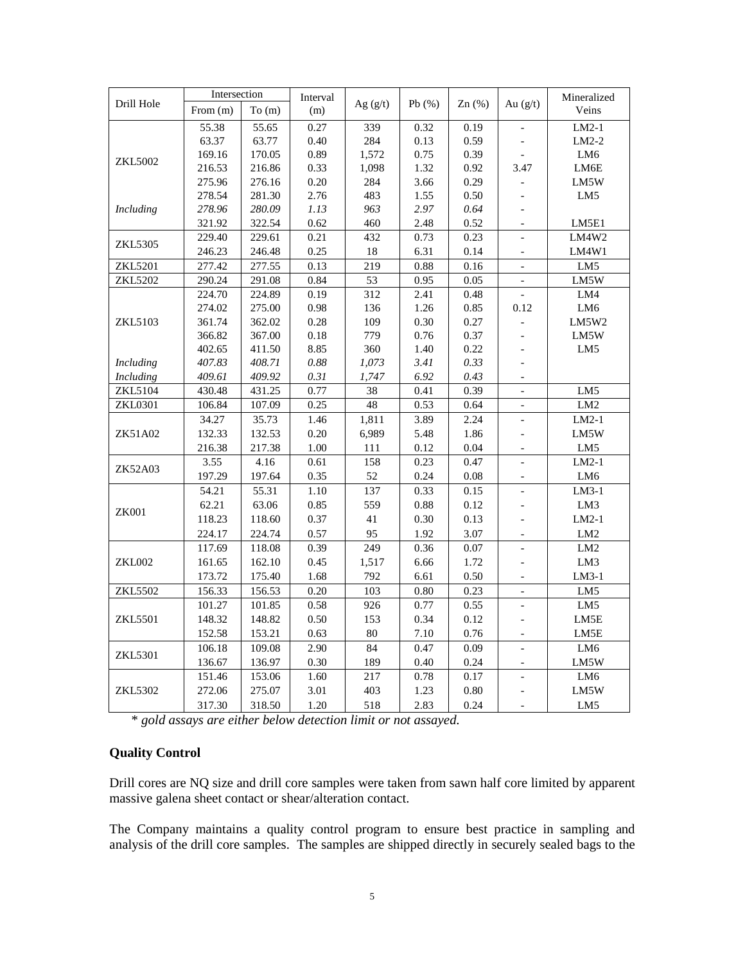| Drill Hole     | Intersection |        | Interval |            |           |          |                              | Mineralized     |
|----------------|--------------|--------|----------|------------|-----------|----------|------------------------------|-----------------|
|                | From $(m)$   | To (m) | (m)      | Ag $(g/t)$ | Pb $(\%)$ | $Zn$ (%) | Au $(g/t)$                   | Veins           |
|                | 55.38        | 55.65  | 0.27     | 339        | 0.32      | 0.19     |                              | $LM2-1$         |
| <b>ZKL5002</b> | 63.37        | 63.77  | 0.40     | 284        | 0.13      | 0.59     |                              | $LM2-2$         |
|                | 169.16       | 170.05 | 0.89     | 1,572      | 0.75      | 0.39     |                              | LM <sub>6</sub> |
|                | 216.53       | 216.86 | 0.33     | 1,098      | 1.32      | 0.92     | 3.47                         | LM6E            |
|                | 275.96       | 276.16 | 0.20     | 284        | 3.66      | 0.29     | $\overline{a}$               | LM5W            |
|                | 278.54       | 281.30 | 2.76     | 483        | 1.55      | 0.50     |                              | LM <sub>5</sub> |
| Including      | 278.96       | 280.09 | 1.13     | 963        | 2.97      | 0.64     |                              |                 |
|                | 321.92       | 322.54 | 0.62     | 460        | 2.48      | 0.52     | $\qquad \qquad \blacksquare$ | LM5E1           |
| <b>ZKL5305</b> | 229.40       | 229.61 | 0.21     | 432        | 0.73      | 0.23     |                              | LM4W2           |
|                | 246.23       | 246.48 | 0.25     | 18         | 6.31      | 0.14     |                              | LM4W1           |
| ZKL5201        | 277.42       | 277.55 | 0.13     | 219        | 0.88      | 0.16     | $\overline{\phantom{a}}$     | LM5             |
| ZKL5202        | 290.24       | 291.08 | 0.84     | 53         | 0.95      | 0.05     | $\overline{a}$               | LM5W            |
|                | 224.70       | 224.89 | 0.19     | 312        | 2.41      | 0.48     |                              | LM4             |
|                | 274.02       | 275.00 | 0.98     | 136        | 1.26      | 0.85     | 0.12                         | LM <sub>6</sub> |
| <b>ZKL5103</b> | 361.74       | 362.02 | 0.28     | 109        | 0.30      | 0.27     |                              | LM5W2           |
|                | 366.82       | 367.00 | 0.18     | 779        | 0.76      | 0.37     | $\overline{a}$               | LM5W            |
|                | 402.65       | 411.50 | 8.85     | 360        | 1.40      | 0.22     |                              | LM5             |
| Including      | 407.83       | 408.71 | 0.88     | 1,073      | 3.41      | 0.33     | $\overline{a}$               |                 |
| Including      | 409.61       | 409.92 | 0.31     | 1,747      | 6.92      | 0.43     | $\overline{a}$               |                 |
| ZKL5104        | 430.48       | 431.25 | 0.77     | 38         | 0.41      | 0.39     | $\qquad \qquad -$            | LM <sub>5</sub> |
| ZKL0301        | 106.84       | 107.09 | 0.25     | 48         | 0.53      | 0.64     | $\overline{a}$               | LM <sub>2</sub> |
|                | 34.27        | 35.73  | 1.46     | 1,811      | 3.89      | 2.24     | $\overline{a}$               | $LM2-1$         |
| ZK51A02        | 132.33       | 132.53 | 0.20     | 6,989      | 5.48      | 1.86     | $\overline{a}$               | LM5W            |
|                | 216.38       | 217.38 | 1.00     | 111        | 0.12      | 0.04     | $\overline{a}$               | LM5             |
| ZK52A03        | 3.55         | 4.16   | 0.61     | 158        | 0.23      | 0.47     | $\overline{a}$               | $LM2-1$         |
|                | 197.29       | 197.64 | 0.35     | 52         | 0.24      | 0.08     | $\overline{\phantom{a}}$     | LM <sub>6</sub> |
|                | 54.21        | 55.31  | 1.10     | 137        | 0.33      | 0.15     | $\overline{a}$               | $LM3-1$         |
|                | 62.21        | 63.06  | 0.85     | 559        | 0.88      | 0.12     | $\overline{a}$               | LM3             |
| <b>ZK001</b>   | 118.23       | 118.60 | 0.37     | 41         | 0.30      | 0.13     |                              | $LM2-1$         |
|                | 224.17       | 224.74 | 0.57     | 95         | 1.92      | 3.07     |                              | LM2             |
|                | 117.69       | 118.08 | 0.39     | 249        | 0.36      | 0.07     | $\overline{a}$               | LM <sub>2</sub> |
| <b>ZKL002</b>  | 161.65       | 162.10 | 0.45     | 1,517      | 6.66      | 1.72     |                              | LM3             |
|                | 173.72       | 175.40 | 1.68     | 792        | 6.61      | 0.50     | $\qquad \qquad \Box$         | $LM3-1$         |
| <b>ZKL5502</b> | 156.33       | 156.53 | 0.20     | 103        | 0.80      | 0.23     | $\overline{a}$               | LM5             |
|                | 101.27       | 101.85 | 0.58     | 926        | 0.77      | 0.55     |                              | LM <sub>5</sub> |
| <b>ZKL5501</b> | 148.32       | 148.82 | 0.50     | 153        | 0.34      | 0.12     | $\overline{a}$               | LM5E            |
|                | 152.58       | 153.21 | 0.63     | 80         | 7.10      | 0.76     | $\overline{a}$               | LM5E            |
|                | 106.18       | 109.08 | 2.90     | 84         | 0.47      | 0.09     |                              | LM6             |
| <b>ZKL5301</b> | 136.67       | 136.97 | 0.30     | 189        | 0.40      | 0.24     | $\overline{\phantom{a}}$     | LM5W            |
|                | 151.46       | 153.06 | 1.60     | 217        | 0.78      | 0.17     | $\overline{a}$               | ${\rm LM6}$     |
| ZKL5302        | 272.06       | 275.07 | 3.01     | 403        | 1.23      | 0.80     | $\overline{a}$               | LM5W            |
|                | 317.30       | 318.50 | 1.20     | 518        | 2.83      | 0.24     | $\overline{a}$               | LM <sub>5</sub> |
|                |              |        |          |            |           |          |                              |                 |

\* *gold assays are either below detection limit or not assayed.*

# **Quality Control**

Drill cores are NQ size and drill core samples were taken from sawn half core limited by apparent massive galena sheet contact or shear/alteration contact.

The Company maintains a quality control program to ensure best practice in sampling and analysis of the drill core samples. The samples are shipped directly in securely sealed bags to the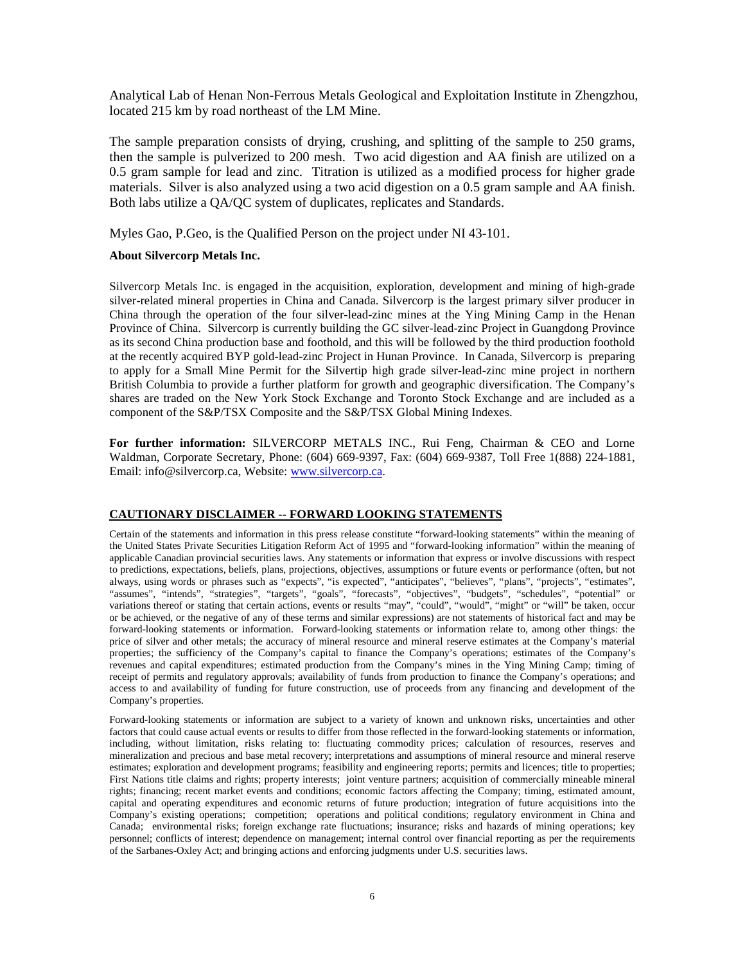Analytical Lab of Henan Non-Ferrous Metals Geological and Exploitation Institute in Zhengzhou, located 215 km by road northeast of the LM Mine.

The sample preparation consists of drying, crushing, and splitting of the sample to 250 grams, then the sample is pulverized to 200 mesh. Two acid digestion and AA finish are utilized on a 0.5 gram sample for lead and zinc. Titration is utilized as a modified process for higher grade materials. Silver is also analyzed using a two acid digestion on a 0.5 gram sample and AA finish. Both labs utilize a QA/QC system of duplicates, replicates and Standards.

Myles Gao, P.Geo, is the Qualified Person on the project under NI 43-101.

#### **About Silvercorp Metals Inc.**

Silvercorp Metals Inc. is engaged in the acquisition, exploration, development and mining of high-grade silver-related mineral properties in China and Canada. Silvercorp is the largest primary silver producer in China through the operation of the four silver-lead-zinc mines at the Ying Mining Camp in the Henan Province of China. Silvercorp is currently building the GC silver-lead-zinc Project in Guangdong Province as its second China production base and foothold, and this will be followed by the third production foothold at the recently acquired BYP gold-lead-zinc Project in Hunan Province.In Canada, Silvercorp is preparing to apply for a Small Mine Permit for the Silvertip high grade silver-lead-zinc mine project in northern British Columbia to provide a further platform for growth and geographic diversification. The Company's shares are traded on the New York Stock Exchange and Toronto Stock Exchange and are included as a component of the S&P/TSX Composite and the S&P/TSX Global Mining Indexes.

**For further information:** SILVERCORP METALS INC., Rui Feng, Chairman & CEO and Lorne Waldman, Corporate Secretary, Phone: (604) 669-9397, Fax: (604) 669-9387, Toll Free 1(888) 224-1881, Email: info@silvercorp.ca, Website: [www.silvercorp.ca.](http://www.silvercorp.ca/)

### **CAUTIONARY DISCLAIMER -- FORWARD LOOKING STATEMENTS**

Certain of the statements and information in this press release constitute "forward-looking statements" within the meaning of the United States Private Securities Litigation Reform Act of 1995 and "forward-looking information" within the meaning of applicable Canadian provincial securities laws. Any statements or information that express or involve discussions with respect to predictions, expectations, beliefs, plans, projections, objectives, assumptions or future events or performance (often, but not always, using words or phrases such as "expects", "is expected", "anticipates", "believes", "plans", "projects", "estimates", "assumes", "intends", "strategies", "targets", "goals", "forecasts", "objectives", "budgets", "schedules", "potential" or variations thereof or stating that certain actions, events or results "may", "could", "would", "might" or "will" be taken, occur or be achieved, or the negative of any of these terms and similar expressions) are not statements of historical fact and may be forward-looking statements or information. Forward-looking statements or information relate to, among other things: the price of silver and other metals; the accuracy of mineral resource and mineral reserve estimates at the Company's material properties; the sufficiency of the Company's capital to finance the Company's operations; estimates of the Company's revenues and capital expenditures; estimated production from the Company's mines in the Ying Mining Camp; timing of receipt of permits and regulatory approvals; availability of funds from production to finance the Company's operations; and access to and availability of funding for future construction, use of proceeds from any financing and development of the Company's properties.

Forward-looking statements or information are subject to a variety of known and unknown risks, uncertainties and other factors that could cause actual events or results to differ from those reflected in the forward-looking statements or information, including, without limitation, risks relating to: fluctuating commodity prices; calculation of resources, reserves and mineralization and precious and base metal recovery; interpretations and assumptions of mineral resource and mineral reserve estimates; exploration and development programs; feasibility and engineering reports; permits and licences; title to properties; First Nations title claims and rights; property interests; joint venture partners; acquisition of commercially mineable mineral rights; financing; recent market events and conditions; economic factors affecting the Company; timing, estimated amount, capital and operating expenditures and economic returns of future production; integration of future acquisitions into the Company's existing operations; competition; operations and political conditions; regulatory environment in China and Canada; environmental risks; foreign exchange rate fluctuations; insurance; risks and hazards of mining operations; key personnel; conflicts of interest; dependence on management; internal control over financial reporting as per the requirements of the Sarbanes-Oxley Act; and bringing actions and enforcing judgments under U.S. securities laws.